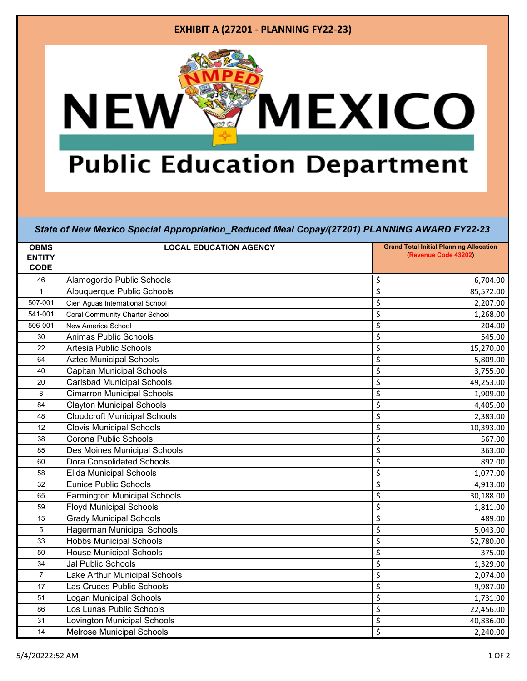## **EXHIBIT A (27201 - PLANNING FY22-23)MEXICO NEW Public Education Department**

*State of New Mexico Special Appropriation\_Reduced Meal Copay/(27201) PLANNING AWARD FY22-23*

| <b>OBMS</b>                  | <b>LOCAL EDUCATION AGENCY</b>         | <b>Grand Total Initial Planning Allocation</b> |
|------------------------------|---------------------------------------|------------------------------------------------|
| <b>ENTITY</b><br><b>CODE</b> |                                       | (Revenue Code 43202)                           |
| 46                           | Alamogordo Public Schools             | \$<br>6,704.00                                 |
| $\mathbf{1}$                 | Albuquerque Public Schools            | \$<br>85,572.00                                |
| 507-001                      | Cien Aguas International School       | \$<br>2,207.00                                 |
| 541-001                      | <b>Coral Community Charter School</b> | \$<br>1,268.00                                 |
| 506-001                      | New America School                    | \$<br>204.00                                   |
| 30                           | Animas Public Schools                 | \$<br>545.00                                   |
| 22                           | Artesia Public Schools                | \$<br>15,270.00                                |
| 64                           | <b>Aztec Municipal Schools</b>        | \$<br>5,809.00                                 |
| 40                           | <b>Capitan Municipal Schools</b>      | \$<br>3,755.00                                 |
| 20                           | <b>Carlsbad Municipal Schools</b>     | \$<br>49,253.00                                |
| 8                            | <b>Cimarron Municipal Schools</b>     | \$<br>1,909.00                                 |
| 84                           | <b>Clayton Municipal Schools</b>      | \$<br>4,405.00                                 |
| 48                           | <b>Cloudcroft Municipal Schools</b>   | \$<br>2,383.00                                 |
| 12                           | <b>Clovis Municipal Schools</b>       | \$<br>10,393.00                                |
| 38                           | Corona Public Schools                 | \$<br>567.00                                   |
| 85                           | Des Moines Municipal Schools          | \$<br>363.00                                   |
| 60                           | <b>Dora Consolidated Schools</b>      | \$<br>892.00                                   |
| 58                           | <b>Elida Municipal Schools</b>        | \$<br>1,077.00                                 |
| 32                           | <b>Eunice Public Schools</b>          | \$<br>4,913.00                                 |
| 65                           | <b>Farmington Municipal Schools</b>   | \$<br>30,188.00                                |
| 59                           | <b>Floyd Municipal Schools</b>        | \$<br>1,811.00                                 |
| 15                           | <b>Grady Municipal Schools</b>        | \$<br>489.00                                   |
| 5                            | <b>Hagerman Municipal Schools</b>     | \$<br>5,043.00                                 |
| 33                           | <b>Hobbs Municipal Schools</b>        | \$<br>52,780.00                                |
| 50                           | <b>House Municipal Schools</b>        | \$<br>375.00                                   |
| 34                           | Jal Public Schools                    | \$<br>1,329.00                                 |
| $\overline{7}$               | Lake Arthur Municipal Schools         | \$<br>2,074.00                                 |
| 17                           | Las Cruces Public Schools             | \$<br>9,987.00                                 |
| 51                           | Logan Municipal Schools               | \$<br>1,731.00                                 |
| 86                           | Los Lunas Public Schools              | \$<br>22,456.00                                |
| 31                           | Lovington Municipal Schools           | \$<br>40,836.00                                |
| 14                           | <b>Melrose Municipal Schools</b>      | \$<br>2,240.00                                 |